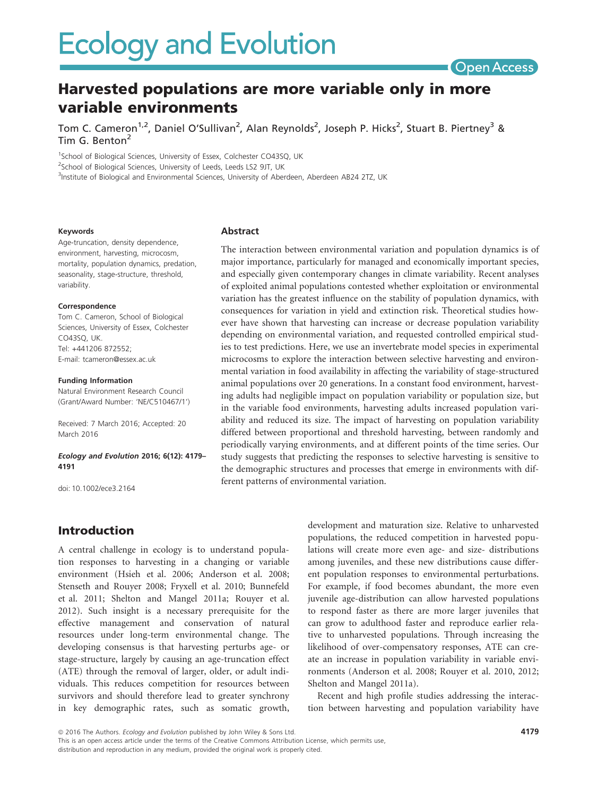

# Harvested populations are more variable only in more variable environments

Tom C. Cameron<sup>1,2</sup>, Daniel O'Sullivan<sup>2</sup>, Alan Reynolds<sup>2</sup>, Joseph P. Hicks<sup>2</sup>, Stuart B. Piertney<sup>3</sup> & Tim G. Benton<sup>2</sup>

<sup>1</sup>School of Biological Sciences, University of Essex, Colchester CO43SQ, UK

<sup>2</sup>School of Biological Sciences, University of Leeds, Leeds LS2 9JT, UK

<sup>3</sup>Institute of Biological and Environmental Sciences, University of Aberdeen, Aberdeen AB24 2TZ, UK

#### Keywords

Age-truncation, density dependence, environment, harvesting, microcosm, mortality, population dynamics, predation, seasonality, stage-structure, threshold, variability.

#### Correspondence

Tom C. Cameron, School of Biological Sciences, University of Essex, Colchester CO43SQ, UK. Tel: +441206 872552; E-mail: tcameron@essex.ac.uk

#### Funding Information

Natural Environment Research Council (Grant/Award Number: 'NE/C510467/1')

Received: 7 March 2016; Accepted: 20 March 2016

#### Ecology and Evolution 2016; 6(12): 4179– 4191

doi: 10.1002/ece3.2164

#### Abstract

The interaction between environmental variation and population dynamics is of major importance, particularly for managed and economically important species, and especially given contemporary changes in climate variability. Recent analyses of exploited animal populations contested whether exploitation or environmental variation has the greatest influence on the stability of population dynamics, with consequences for variation in yield and extinction risk. Theoretical studies however have shown that harvesting can increase or decrease population variability depending on environmental variation, and requested controlled empirical studies to test predictions. Here, we use an invertebrate model species in experimental microcosms to explore the interaction between selective harvesting and environmental variation in food availability in affecting the variability of stage-structured animal populations over 20 generations. In a constant food environment, harvesting adults had negligible impact on population variability or population size, but in the variable food environments, harvesting adults increased population variability and reduced its size. The impact of harvesting on population variability differed between proportional and threshold harvesting, between randomly and periodically varying environments, and at different points of the time series. Our study suggests that predicting the responses to selective harvesting is sensitive to the demographic structures and processes that emerge in environments with different patterns of environmental variation.

### Introduction

A central challenge in ecology is to understand population responses to harvesting in a changing or variable environment (Hsieh et al. 2006; Anderson et al. 2008; Stenseth and Rouyer 2008; Fryxell et al. 2010; Bunnefeld et al. 2011; Shelton and Mangel 2011a; Rouyer et al. 2012). Such insight is a necessary prerequisite for the effective management and conservation of natural resources under long-term environmental change. The developing consensus is that harvesting perturbs age- or stage-structure, largely by causing an age-truncation effect (ATE) through the removal of larger, older, or adult individuals. This reduces competition for resources between survivors and should therefore lead to greater synchrony in key demographic rates, such as somatic growth, development and maturation size. Relative to unharvested populations, the reduced competition in harvested populations will create more even age- and size- distributions among juveniles, and these new distributions cause different population responses to environmental perturbations. For example, if food becomes abundant, the more even juvenile age-distribution can allow harvested populations to respond faster as there are more larger juveniles that can grow to adulthood faster and reproduce earlier relative to unharvested populations. Through increasing the likelihood of over-compensatory responses, ATE can create an increase in population variability in variable environments (Anderson et al. 2008; Rouyer et al. 2010, 2012; Shelton and Mangel 2011a).

Recent and high profile studies addressing the interaction between harvesting and population variability have

ª 2016 The Authors. Ecology and Evolution published by John Wiley & Sons Ltd.

This is an open access article under the terms of the Creative Commons Attribution License, which permits use, distribution and reproduction in any medium, provided the original work is properly cited.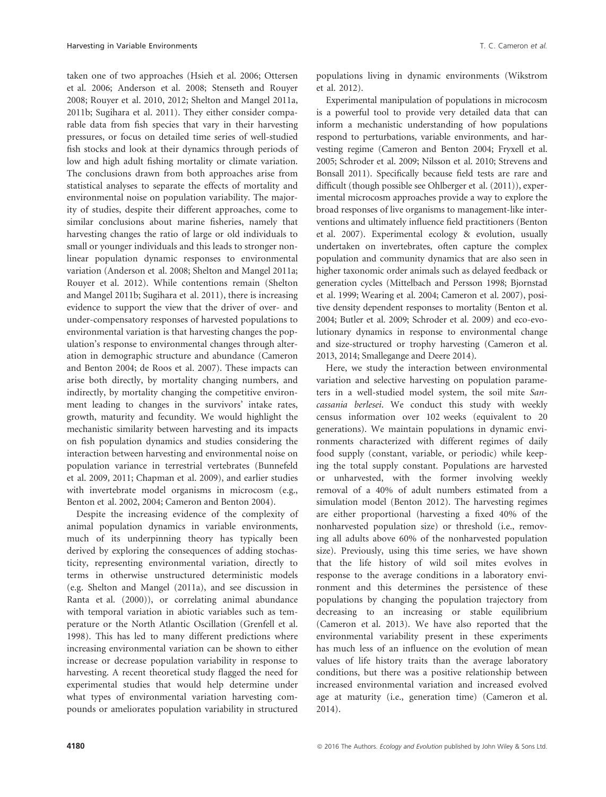taken one of two approaches (Hsieh et al. 2006; Ottersen et al. 2006; Anderson et al. 2008; Stenseth and Rouyer 2008; Rouyer et al. 2010, 2012; Shelton and Mangel 2011a, 2011b; Sugihara et al. 2011). They either consider comparable data from fish species that vary in their harvesting pressures, or focus on detailed time series of well-studied fish stocks and look at their dynamics through periods of low and high adult fishing mortality or climate variation. The conclusions drawn from both approaches arise from statistical analyses to separate the effects of mortality and environmental noise on population variability. The majority of studies, despite their different approaches, come to similar conclusions about marine fisheries, namely that harvesting changes the ratio of large or old individuals to small or younger individuals and this leads to stronger nonlinear population dynamic responses to environmental variation (Anderson et al. 2008; Shelton and Mangel 2011a; Rouyer et al. 2012). While contentions remain (Shelton and Mangel 2011b; Sugihara et al. 2011), there is increasing evidence to support the view that the driver of over- and under-compensatory responses of harvested populations to environmental variation is that harvesting changes the population's response to environmental changes through alteration in demographic structure and abundance (Cameron and Benton 2004; de Roos et al. 2007). These impacts can arise both directly, by mortality changing numbers, and indirectly, by mortality changing the competitive environment leading to changes in the survivors' intake rates, growth, maturity and fecundity. We would highlight the mechanistic similarity between harvesting and its impacts on fish population dynamics and studies considering the interaction between harvesting and environmental noise on population variance in terrestrial vertebrates (Bunnefeld et al. 2009, 2011; Chapman et al. 2009), and earlier studies with invertebrate model organisms in microcosm (e.g., Benton et al. 2002, 2004; Cameron and Benton 2004).

Despite the increasing evidence of the complexity of animal population dynamics in variable environments, much of its underpinning theory has typically been derived by exploring the consequences of adding stochasticity, representing environmental variation, directly to terms in otherwise unstructured deterministic models (e.g. Shelton and Mangel (2011a), and see discussion in Ranta et al. (2000)), or correlating animal abundance with temporal variation in abiotic variables such as temperature or the North Atlantic Oscillation (Grenfell et al. 1998). This has led to many different predictions where increasing environmental variation can be shown to either increase or decrease population variability in response to harvesting. A recent theoretical study flagged the need for experimental studies that would help determine under what types of environmental variation harvesting compounds or ameliorates population variability in structured populations living in dynamic environments (Wikstrom et al. 2012).

Experimental manipulation of populations in microcosm is a powerful tool to provide very detailed data that can inform a mechanistic understanding of how populations respond to perturbations, variable environments, and harvesting regime (Cameron and Benton 2004; Fryxell et al. 2005; Schroder et al. 2009; Nilsson et al. 2010; Strevens and Bonsall 2011). Specifically because field tests are rare and difficult (though possible see Ohlberger et al. (2011)), experimental microcosm approaches provide a way to explore the broad responses of live organisms to management-like interventions and ultimately influence field practitioners (Benton et al. 2007). Experimental ecology & evolution, usually undertaken on invertebrates, often capture the complex population and community dynamics that are also seen in higher taxonomic order animals such as delayed feedback or generation cycles (Mittelbach and Persson 1998; Bjornstad et al. 1999; Wearing et al. 2004; Cameron et al. 2007), positive density dependent responses to mortality (Benton et al. 2004; Butler et al. 2009; Schroder et al. 2009) and eco-evolutionary dynamics in response to environmental change and size-structured or trophy harvesting (Cameron et al. 2013, 2014; Smallegange and Deere 2014).

Here, we study the interaction between environmental variation and selective harvesting on population parameters in a well-studied model system, the soil mite Sancassania berlesei. We conduct this study with weekly census information over 102 weeks (equivalent to 20 generations). We maintain populations in dynamic environments characterized with different regimes of daily food supply (constant, variable, or periodic) while keeping the total supply constant. Populations are harvested or unharvested, with the former involving weekly removal of a 40% of adult numbers estimated from a simulation model (Benton 2012). The harvesting regimes are either proportional (harvesting a fixed 40% of the nonharvested population size) or threshold (i.e., removing all adults above 60% of the nonharvested population size). Previously, using this time series, we have shown that the life history of wild soil mites evolves in response to the average conditions in a laboratory environment and this determines the persistence of these populations by changing the population trajectory from decreasing to an increasing or stable equilibrium (Cameron et al. 2013). We have also reported that the environmental variability present in these experiments has much less of an influence on the evolution of mean values of life history traits than the average laboratory conditions, but there was a positive relationship between increased environmental variation and increased evolved age at maturity (i.e., generation time) (Cameron et al. 2014).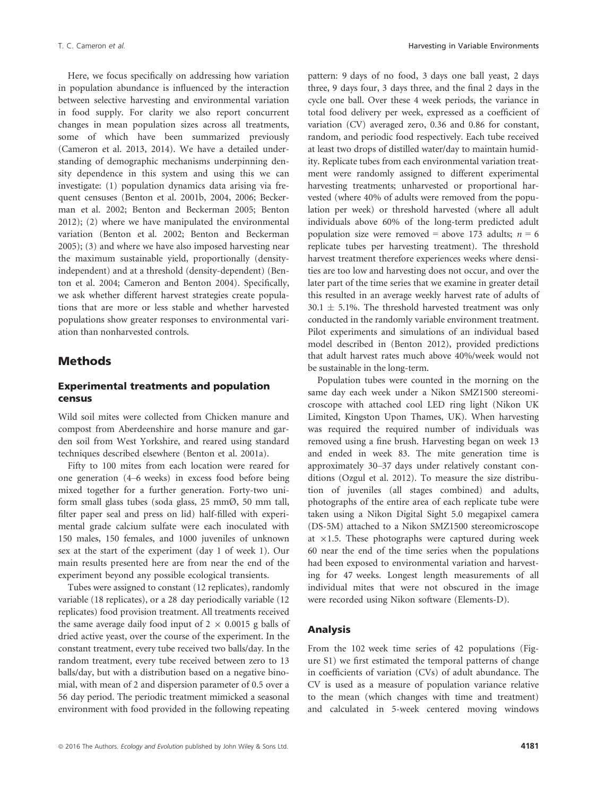Here, we focus specifically on addressing how variation in population abundance is influenced by the interaction between selective harvesting and environmental variation in food supply. For clarity we also report concurrent changes in mean population sizes across all treatments, some of which have been summarized previously (Cameron et al. 2013, 2014). We have a detailed understanding of demographic mechanisms underpinning density dependence in this system and using this we can investigate: (1) population dynamics data arising via frequent censuses (Benton et al. 2001b, 2004, 2006; Beckerman et al. 2002; Benton and Beckerman 2005; Benton 2012); (2) where we have manipulated the environmental variation (Benton et al. 2002; Benton and Beckerman 2005); (3) and where we have also imposed harvesting near the maximum sustainable yield, proportionally (densityindependent) and at a threshold (density-dependent) (Benton et al. 2004; Cameron and Benton 2004). Specifically, we ask whether different harvest strategies create populations that are more or less stable and whether harvested populations show greater responses to environmental variation than nonharvested controls.

#### **Methods**

#### Experimental treatments and population census

Wild soil mites were collected from Chicken manure and compost from Aberdeenshire and horse manure and garden soil from West Yorkshire, and reared using standard techniques described elsewhere (Benton et al. 2001a).

Fifty to 100 mites from each location were reared for one generation (4–6 weeks) in excess food before being mixed together for a further generation. Forty-two uniform small glass tubes (soda glass, 25 mmØ, 50 mm tall, filter paper seal and press on lid) half-filled with experimental grade calcium sulfate were each inoculated with 150 males, 150 females, and 1000 juveniles of unknown sex at the start of the experiment (day 1 of week 1). Our main results presented here are from near the end of the experiment beyond any possible ecological transients.

Tubes were assigned to constant (12 replicates), randomly variable (18 replicates), or a 28 day periodically variable (12 replicates) food provision treatment. All treatments received the same average daily food input of  $2 \times 0.0015$  g balls of dried active yeast, over the course of the experiment. In the constant treatment, every tube received two balls/day. In the random treatment, every tube received between zero to 13 balls/day, but with a distribution based on a negative binomial, with mean of 2 and dispersion parameter of 0.5 over a 56 day period. The periodic treatment mimicked a seasonal environment with food provided in the following repeating pattern: 9 days of no food, 3 days one ball yeast, 2 days three, 9 days four, 3 days three, and the final 2 days in the cycle one ball. Over these 4 week periods, the variance in total food delivery per week, expressed as a coefficient of variation (CV) averaged zero, 0.36 and 0.86 for constant, random, and periodic food respectively. Each tube received at least two drops of distilled water/day to maintain humidity. Replicate tubes from each environmental variation treatment were randomly assigned to different experimental harvesting treatments; unharvested or proportional harvested (where 40% of adults were removed from the population per week) or threshold harvested (where all adult individuals above 60% of the long-term predicted adult population size were removed = above 173 adults;  $n = 6$ replicate tubes per harvesting treatment). The threshold harvest treatment therefore experiences weeks where densities are too low and harvesting does not occur, and over the later part of the time series that we examine in greater detail this resulted in an average weekly harvest rate of adults of  $30.1 \pm 5.1\%$ . The threshold harvested treatment was only conducted in the randomly variable environment treatment. Pilot experiments and simulations of an individual based model described in (Benton 2012), provided predictions that adult harvest rates much above 40%/week would not be sustainable in the long-term.

Population tubes were counted in the morning on the same day each week under a Nikon SMZ1500 stereomicroscope with attached cool LED ring light (Nikon UK Limited, Kingston Upon Thames, UK). When harvesting was required the required number of individuals was removed using a fine brush. Harvesting began on week 13 and ended in week 83. The mite generation time is approximately 30–37 days under relatively constant conditions (Ozgul et al. 2012). To measure the size distribution of juveniles (all stages combined) and adults, photographs of the entire area of each replicate tube were taken using a Nikon Digital Sight 5.0 megapixel camera (DS-5M) attached to a Nikon SMZ1500 stereomicroscope at  $\times$ 1.5. These photographs were captured during week 60 near the end of the time series when the populations had been exposed to environmental variation and harvesting for 47 weeks. Longest length measurements of all individual mites that were not obscured in the image were recorded using Nikon software (Elements-D).

#### Analysis

From the 102 week time series of 42 populations (Figure S1) we first estimated the temporal patterns of change in coefficients of variation (CVs) of adult abundance. The CV is used as a measure of population variance relative to the mean (which changes with time and treatment) and calculated in 5-week centered moving windows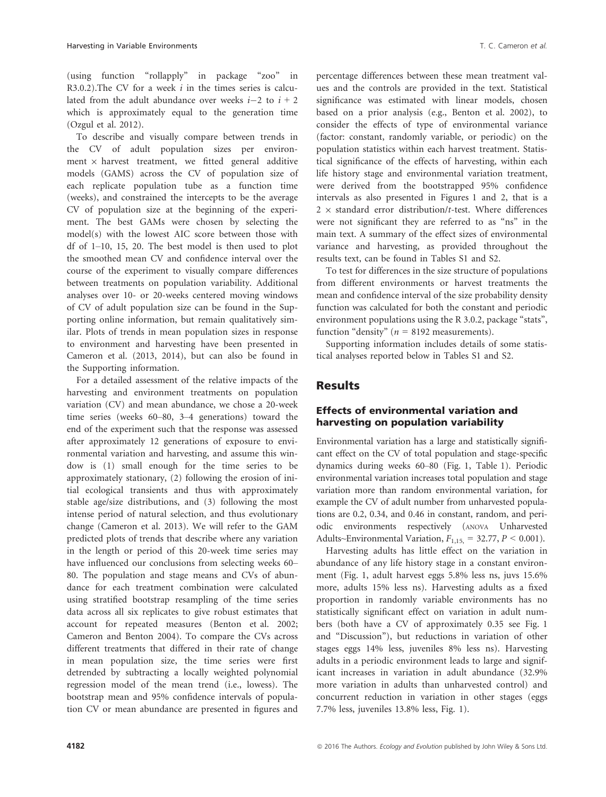(using function "rollapply" in package "zoo" in R3.0.2). The CV for a week  $i$  in the times series is calculated from the adult abundance over weeks  $i-2$  to  $i + 2$ which is approximately equal to the generation time (Ozgul et al. 2012).

To describe and visually compare between trends in the CV of adult population sizes per environment  $\times$  harvest treatment, we fitted general additive models (GAMS) across the CV of population size of each replicate population tube as a function time (weeks), and constrained the intercepts to be the average CV of population size at the beginning of the experiment. The best GAMs were chosen by selecting the model(s) with the lowest AIC score between those with df of 1–10, 15, 20. The best model is then used to plot the smoothed mean CV and confidence interval over the course of the experiment to visually compare differences between treatments on population variability. Additional analyses over 10- or 20-weeks centered moving windows of CV of adult population size can be found in the Supporting online information, but remain qualitatively similar. Plots of trends in mean population sizes in response to environment and harvesting have been presented in Cameron et al. (2013, 2014), but can also be found in the Supporting information.

For a detailed assessment of the relative impacts of the harvesting and environment treatments on population variation (CV) and mean abundance, we chose a 20-week time series (weeks 60–80, 3–4 generations) toward the end of the experiment such that the response was assessed after approximately 12 generations of exposure to environmental variation and harvesting, and assume this window is (1) small enough for the time series to be approximately stationary, (2) following the erosion of initial ecological transients and thus with approximately stable age/size distributions, and (3) following the most intense period of natural selection, and thus evolutionary change (Cameron et al. 2013). We will refer to the GAM predicted plots of trends that describe where any variation in the length or period of this 20-week time series may have influenced our conclusions from selecting weeks 60– 80. The population and stage means and CVs of abundance for each treatment combination were calculated using stratified bootstrap resampling of the time series data across all six replicates to give robust estimates that account for repeated measures (Benton et al. 2002; Cameron and Benton 2004). To compare the CVs across different treatments that differed in their rate of change in mean population size, the time series were first detrended by subtracting a locally weighted polynomial regression model of the mean trend (i.e., lowess). The bootstrap mean and 95% confidence intervals of population CV or mean abundance are presented in figures and

percentage differences between these mean treatment values and the controls are provided in the text. Statistical significance was estimated with linear models, chosen based on a prior analysis (e.g., Benton et al. 2002), to consider the effects of type of environmental variance (factor: constant, randomly variable, or periodic) on the population statistics within each harvest treatment. Statistical significance of the effects of harvesting, within each life history stage and environmental variation treatment, were derived from the bootstrapped 95% confidence intervals as also presented in Figures 1 and 2, that is a  $2 \times$  standard error distribution/t-test. Where differences were not significant they are referred to as "ns" in the main text. A summary of the effect sizes of environmental variance and harvesting, as provided throughout the results text, can be found in Tables S1 and S2.

To test for differences in the size structure of populations from different environments or harvest treatments the mean and confidence interval of the size probability density function was calculated for both the constant and periodic environment populations using the R 3.0.2, package "stats", function "density" ( $n = 8192$  measurements).

Supporting information includes details of some statistical analyses reported below in Tables S1 and S2.

### **Results**

#### Effects of environmental variation and harvesting on population variability

Environmental variation has a large and statistically significant effect on the CV of total population and stage-specific dynamics during weeks 60–80 (Fig. 1, Table 1). Periodic environmental variation increases total population and stage variation more than random environmental variation, for example the CV of adult number from unharvested populations are 0.2, 0.34, and 0.46 in constant, random, and periodic environments respectively (ANOVA Unharvested Adults~Environmental Variation,  $F_{1,15} = 32.77$ ,  $P \le 0.001$ ).

Harvesting adults has little effect on the variation in abundance of any life history stage in a constant environment (Fig. 1, adult harvest eggs 5.8% less ns, juvs 15.6% more, adults 15% less ns). Harvesting adults as a fixed proportion in randomly variable environments has no statistically significant effect on variation in adult numbers (both have a CV of approximately 0.35 see Fig. 1 and "Discussion"), but reductions in variation of other stages eggs 14% less, juveniles 8% less ns). Harvesting adults in a periodic environment leads to large and significant increases in variation in adult abundance (32.9% more variation in adults than unharvested control) and concurrent reduction in variation in other stages (eggs 7.7% less, juveniles 13.8% less, Fig. 1).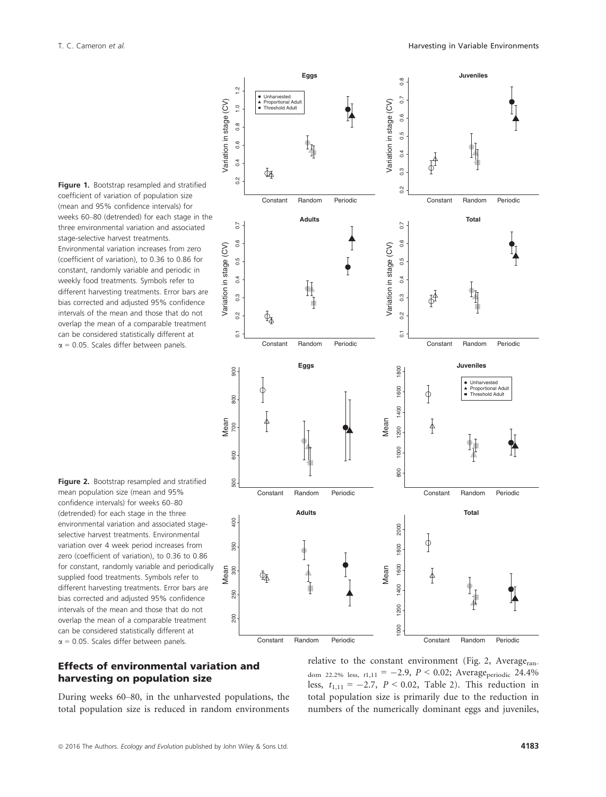Figure 1. Bootstrap resampled and stratified coefficient of variation of population size (mean and 95% confidence intervals) for weeks 60–80 (detrended) for each stage in the three environmental variation and associated stage-selective harvest treatments. Environmental variation increases from zero (coefficient of variation), to 0.36 to 0.86 for constant, randomly variable and periodic in weekly food treatments. Symbols refer to different harvesting treatments. Error bars are bias corrected and adjusted 95% confidence intervals of the mean and those that do not overlap the mean of a comparable treatment can be considered statistically different at  $\alpha$  = 0.05. Scales differ between panels.

Figure 2. Bootstrap resampled and stratified mean population size (mean and 95% confidence intervals) for weeks 60–80 (detrended) for each stage in the three environmental variation and associated stageselective harvest treatments. Environmental variation over 4 week period increases from zero (coefficient of variation), to 0.36 to 0.86 for constant, randomly variable and periodically supplied food treatments. Symbols refer to different harvesting treatments. Error bars are bias corrected and adjusted 95% confidence intervals of the mean and those that do not overlap the mean of a comparable treatment can be considered statistically different at  $\alpha$  = 0.05. Scales differ between panels.

#### **Eggs Juveniles**  $0.8$ 0.2 0.3 0.4 0.5 0.6 0.7 0.8  $1.2$ 0.2 0.4 0.6 0.8 1.0 1.2  $0.7$ Unharvested Proportional Adult Variation in stage (CV) Variation in stage (CV) Variation in stage (CV) Variation in stage (CV)  $\frac{0}{2}$ ■ Threshold Adult  $0.\overline{6}$  $0.8$  $0.\overline{5}$  $0.6$  $0.4$  $0.4$  $\overline{0}$ Ф  $\overline{0}$  $0.2$ Constant Random Periodic Constant Random Periodic **Adults Total**  $\overline{0}$  $\overline{0.7}$ 0.1 0.2 0.3 0.4 0.5 0.6 0.7 0.1 0.2 0.3 0.4 0.5 0.6 0.7  $0.6$ 1  $0.6$ Variation in stage (CV) Variation in stage (CV) Variation in stage (CV) Variation in stage (CV)  $0.\overline{5}$  $0.5$  $\frac{1}{2}$  $\overline{0.4}$  $0.4$  $0.3$  $0.3$ ď  $0.\overline{2}$  $0.2$  $\Phi_{\!\! {\bar{\Lambda}}}$  $\overline{c}$  $\overline{c}$ Constant Random Periodic Constant Random Periodic **Eggs Juveniles** 1800 900 800 1000 1200 1400 1600 1800 500 600 700 800 900 Unharvested Proportional Adult 1600  $\uparrow$  $\phi$ Threshold Adult 800 1400 Mean Mean 本 1200 1000 600 **SOG** 500 Constant Random Periodic Constant Random Periodic **Adults Total**  $rac{1}{2}$ 200 250 300 350 400 2000 1000 1200 1400 1600 1800 2000  $\oint$ 350 1800 Mean 1600 Mean 300 ∤ Фѧ 1400 250 1200 200  $\frac{8}{2}$

#### Effects of environmental variation and harvesting on population size

During weeks 60–80, in the unharvested populations, the total population size is reduced in random environments relative to the constant environment (Fig. 2, Average<sub>ran-</sub> dom 22.2% less,  $t1,11 = -2.9$ ,  $P < 0.02$ ; Average<sub>periodic</sub> 24.4% less,  $t_{1,11} = -2.7$ ,  $P < 0.02$ , Table 2). This reduction in total population size is primarily due to the reduction in numbers of the numerically dominant eggs and juveniles,

Constant Random Periodic

Constant Random Periodic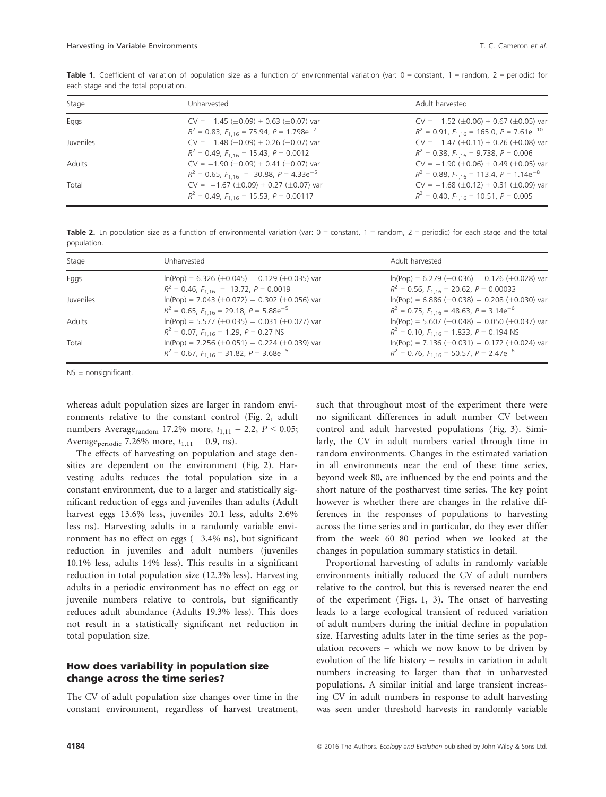| Stage            | Unharvested                                                                                               | Adult harvested                                                                                            |
|------------------|-----------------------------------------------------------------------------------------------------------|------------------------------------------------------------------------------------------------------------|
| Eggs             | $CV = -1.45 \ (\pm 0.09) + 0.63 \ (\pm 0.07)$ var<br>$R^2$ = 0.83, $F_{1.16}$ = 75.94, $P = 1.798e^{-7}$  | $CV = -1.52 \ (\pm 0.06) + 0.67 \ (\pm 0.05)$ var<br>$R^2 = 0.91$ , $F_{1,16} = 165.0$ , $P = 7.61e^{-10}$ |
| <b>Juveniles</b> | $CV = -1.48 \ (\pm 0.09) + 0.26 \ (\pm 0.07)$ var<br>$R^2 = 0.49$ , $F_{1,16} = 15.43$ , $P = 0.0012$     | $CV = -1.47 \ (\pm 0.11) + 0.26 \ (\pm 0.08)$ var<br>$R^2 = 0.38$ , $F_{1,16} = 9.738$ , $P = 0.006$       |
| Adults           | $CV = -1.90 \ (\pm 0.09) + 0.41 \ (\pm 0.07)$ var<br>$R^2 = 0.65$ , $F_{1,16} = 30.88$ , $P = 4.33e^{-5}$ | $CV = -1.90 \ (\pm 0.06) + 0.49 \ (\pm 0.05)$ var<br>$R^2$ = 0.88, $F_{1,16}$ = 113.4, $P = 1.14e^{-8}$    |
| Total            | $CV = -1.67 \ (\pm 0.09) + 0.27 \ (\pm 0.07)$ var<br>$R^2 = 0.49$ , $F_{1.16} = 15.53$ , $P = 0.00117$    | $CV = -1.68 \ (\pm 0.12) + 0.31 \ (\pm 0.09)$ var<br>$R^2 = 0.40$ , $F_{1,16} = 10.51$ , $P = 0.005$       |

Table 1. Coefficient of variation of population size as a function of environmental variation (var:  $0 =$  constant,  $1 =$  random,  $2 =$  periodic) for each stage and the total population.

Table 2. Ln population size as a function of environmental variation (var:  $0 =$  constant,  $1 =$  random,  $2 =$  periodic) for each stage and the total population.

| Stage     | Unharvested                                                                                                     | Adult harvested                                                                                                |
|-----------|-----------------------------------------------------------------------------------------------------------------|----------------------------------------------------------------------------------------------------------------|
| Eggs      | $ln(Pop) = 6.326 \ (\pm 0.045) - 0.129 \ (\pm 0.035)$ var<br>$R^2 = 0.46$ , $F_{1,16} = 13.72$ , $P = 0.0019$   | $ln(Pop) = 6.279 \ (\pm 0.036) - 0.126 \ (\pm 0.028)$ var<br>$R^2 = 0.56$ , $F_{1.16} = 20.62$ , $P = 0.00033$ |
| Juveniles | $ln(Pop) = 7.043 \ (\pm 0.072) - 0.302 \ (\pm 0.056)$ var<br>$R^2$ = 0.65, $F_{1,16}$ = 29.18, $P = 5.88e^{-5}$ | $ln(Pop) = 6.886 (\pm 0.038) - 0.208 (\pm 0.030)$ var<br>$R^2$ = 0.75, $F_{1,16}$ = 48.63, $P = 3.14e^{-6}$    |
| Adults    | $ln(Pop) = 5.577 (\pm 0.035) - 0.031 (\pm 0.027)$ var<br>$R^2 = 0.07$ , $F_{1.16} = 1.29$ , $P = 0.27$ NS       | $ln(Pop) = 5.607 (\pm 0.048) - 0.050 (\pm 0.037)$ var<br>$R^2 = 0.10$ , $F_{1,16} = 1.833$ , $P = 0.194$ NS    |
| Total     | $ln(Pop) = 7.256 (\pm 0.051) - 0.224 (\pm 0.039)$ var<br>$R^2 = 0.67$ , $F_{1,16} = 31.82$ , $P = 3.68e^{-5}$   | $ln(Pop) = 7.136 (\pm 0.031) - 0.172 (\pm 0.024)$ var<br>$R^2$ = 0.76, $F_{1,16}$ = 50.57, $P = 2.47e^{-6}$    |

NS = nonsignificant.

whereas adult population sizes are larger in random environments relative to the constant control (Fig. 2, adult numbers Average<sub>random</sub> 17.2% more,  $t_{1,11} = 2.2$ ,  $P < 0.05$ ; Average<sub>periodic</sub> 7.26% more,  $t_{1,11} = 0.9$ , ns).

The effects of harvesting on population and stage densities are dependent on the environment (Fig. 2). Harvesting adults reduces the total population size in a constant environment, due to a larger and statistically significant reduction of eggs and juveniles than adults (Adult harvest eggs 13.6% less, juveniles 20.1 less, adults 2.6% less ns). Harvesting adults in a randomly variable environment has no effect on eggs  $(-3.4\% \text{ ns})$ , but significant reduction in juveniles and adult numbers (juveniles 10.1% less, adults 14% less). This results in a significant reduction in total population size (12.3% less). Harvesting adults in a periodic environment has no effect on egg or juvenile numbers relative to controls, but significantly reduces adult abundance (Adults 19.3% less). This does not result in a statistically significant net reduction in total population size.

#### How does variability in population size change across the time series?

The CV of adult population size changes over time in the constant environment, regardless of harvest treatment,

such that throughout most of the experiment there were no significant differences in adult number CV between control and adult harvested populations (Fig. 3). Similarly, the CV in adult numbers varied through time in random environments. Changes in the estimated variation in all environments near the end of these time series, beyond week 80, are influenced by the end points and the short nature of the postharvest time series. The key point however is whether there are changes in the relative differences in the responses of populations to harvesting across the time series and in particular, do they ever differ from the week 60–80 period when we looked at the changes in population summary statistics in detail.

Proportional harvesting of adults in randomly variable environments initially reduced the CV of adult numbers relative to the control, but this is reversed nearer the end of the experiment (Figs. 1, 3). The onset of harvesting leads to a large ecological transient of reduced variation of adult numbers during the initial decline in population size. Harvesting adults later in the time series as the population recovers – which we now know to be driven by evolution of the life history – results in variation in adult numbers increasing to larger than that in unharvested populations. A similar initial and large transient increasing CV in adult numbers in response to adult harvesting was seen under threshold harvests in randomly variable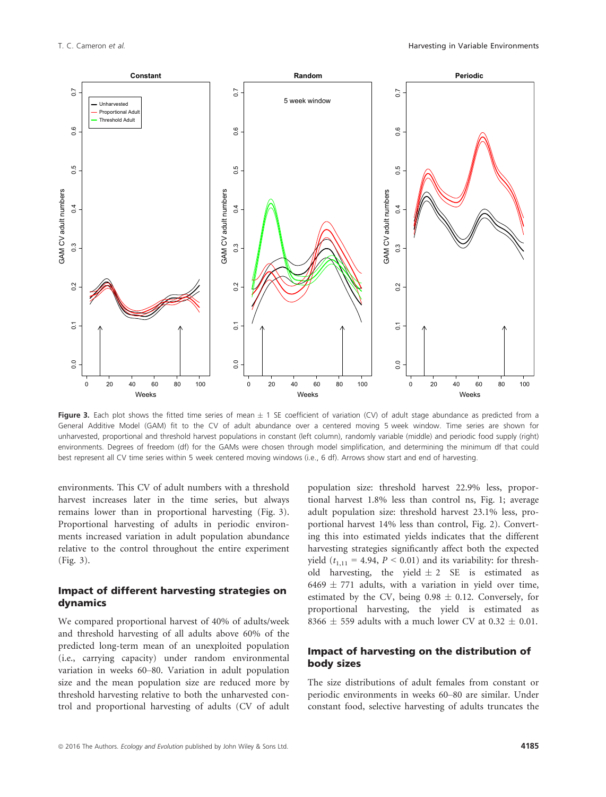

Figure 3. Each plot shows the fitted time series of mean  $\pm$  1 SE coefficient of variation (CV) of adult stage abundance as predicted from a General Additive Model (GAM) fit to the CV of adult abundance over a centered moving 5 week window. Time series are shown for unharvested, proportional and threshold harvest populations in constant (left column), randomly variable (middle) and periodic food supply (right) environments. Degrees of freedom (df) for the GAMs were chosen through model simplification, and determining the minimum df that could best represent all CV time series within 5 week centered moving windows (i.e., 6 df). Arrows show start and end of harvesting.

environments. This CV of adult numbers with a threshold harvest increases later in the time series, but always remains lower than in proportional harvesting (Fig. 3). Proportional harvesting of adults in periodic environments increased variation in adult population abundance relative to the control throughout the entire experiment (Fig. 3).

#### Impact of different harvesting strategies on dynamics

We compared proportional harvest of 40% of adults/week and threshold harvesting of all adults above 60% of the predicted long-term mean of an unexploited population (i.e., carrying capacity) under random environmental variation in weeks 60–80. Variation in adult population size and the mean population size are reduced more by threshold harvesting relative to both the unharvested control and proportional harvesting of adults (CV of adult population size: threshold harvest 22.9% less, proportional harvest 1.8% less than control ns, Fig. 1; average adult population size: threshold harvest 23.1% less, proportional harvest 14% less than control, Fig. 2). Converting this into estimated yields indicates that the different harvesting strategies significantly affect both the expected yield ( $t_{1,11} = 4.94$ ,  $P < 0.01$ ) and its variability: for threshold harvesting, the yield  $\pm 2$  SE is estimated as  $6469 \pm 771$  adults, with a variation in yield over time, estimated by the CV, being  $0.98 \pm 0.12$ . Conversely, for proportional harvesting, the yield is estimated as 8366  $\pm$  559 adults with a much lower CV at 0.32  $\pm$  0.01.

#### Impact of harvesting on the distribution of body sizes

The size distributions of adult females from constant or periodic environments in weeks 60–80 are similar. Under constant food, selective harvesting of adults truncates the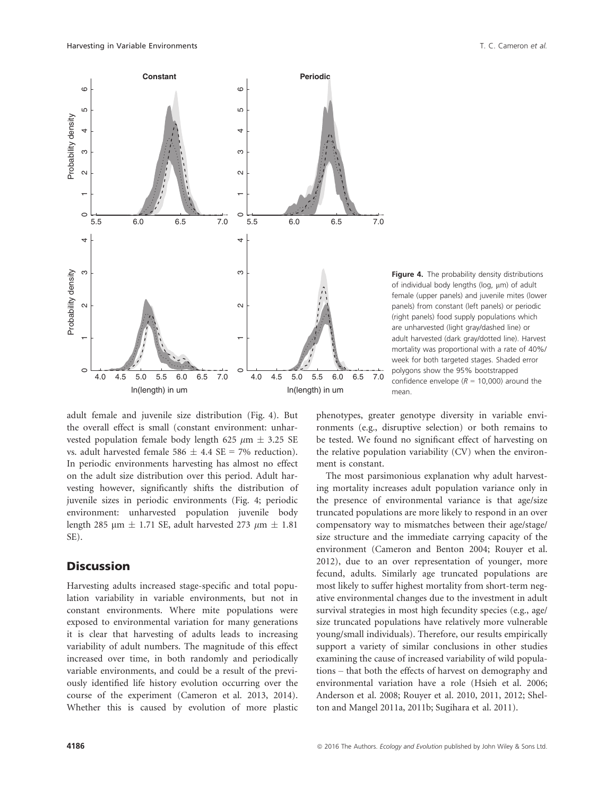

Figure 4. The probability density distributions of individual body lengths ( $log, \mu$ m) of adult female (upper panels) and juvenile mites (lower panels) from constant (left panels) or periodic (right panels) food supply populations which are unharvested (light gray/dashed line) or adult harvested (dark gray/dotted line). Harvest mortality was proportional with a rate of 40%/ week for both targeted stages. Shaded error polygons show the 95% bootstrapped confidence envelope ( $R = 10,000$ ) around the mean.

adult female and juvenile size distribution (Fig. 4). But the overall effect is small (constant environment: unharvested population female body length 625  $\mu$ m  $\pm$  3.25 SE vs. adult harvested female 586  $\pm$  4.4 SE = 7% reduction). In periodic environments harvesting has almost no effect on the adult size distribution over this period. Adult harvesting however, significantly shifts the distribution of juvenile sizes in periodic environments (Fig. 4; periodic environment: unharvested population juvenile body length 285 µm  $\pm$  1.71 SE, adult harvested 273 µm  $\pm$  1.81 SE).

#### **Discussion**

Harvesting adults increased stage-specific and total population variability in variable environments, but not in constant environments. Where mite populations were exposed to environmental variation for many generations it is clear that harvesting of adults leads to increasing variability of adult numbers. The magnitude of this effect increased over time, in both randomly and periodically variable environments, and could be a result of the previously identified life history evolution occurring over the course of the experiment (Cameron et al. 2013, 2014). Whether this is caused by evolution of more plastic phenotypes, greater genotype diversity in variable environments (e.g., disruptive selection) or both remains to be tested. We found no significant effect of harvesting on the relative population variability (CV) when the environment is constant.

The most parsimonious explanation why adult harvesting mortality increases adult population variance only in the presence of environmental variance is that age/size truncated populations are more likely to respond in an over compensatory way to mismatches between their age/stage/ size structure and the immediate carrying capacity of the environment (Cameron and Benton 2004; Rouyer et al. 2012), due to an over representation of younger, more fecund, adults. Similarly age truncated populations are most likely to suffer highest mortality from short-term negative environmental changes due to the investment in adult survival strategies in most high fecundity species (e.g., age/ size truncated populations have relatively more vulnerable young/small individuals). Therefore, our results empirically support a variety of similar conclusions in other studies examining the cause of increased variability of wild populations – that both the effects of harvest on demography and environmental variation have a role (Hsieh et al. 2006; Anderson et al. 2008; Rouyer et al. 2010, 2011, 2012; Shelton and Mangel 2011a, 2011b; Sugihara et al. 2011).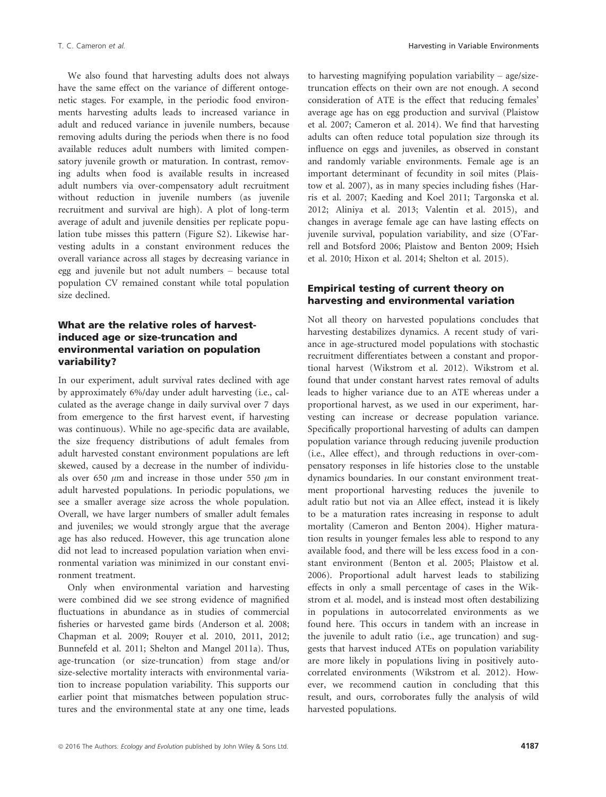We also found that harvesting adults does not always have the same effect on the variance of different ontogenetic stages. For example, in the periodic food environments harvesting adults leads to increased variance in adult and reduced variance in juvenile numbers, because removing adults during the periods when there is no food available reduces adult numbers with limited compensatory juvenile growth or maturation. In contrast, removing adults when food is available results in increased adult numbers via over-compensatory adult recruitment without reduction in juvenile numbers (as juvenile recruitment and survival are high). A plot of long-term average of adult and juvenile densities per replicate population tube misses this pattern (Figure S2). Likewise harvesting adults in a constant environment reduces the overall variance across all stages by decreasing variance in egg and juvenile but not adult numbers – because total population CV remained constant while total population size declined.

#### What are the relative roles of harvestinduced age or size-truncation and environmental variation on population variability?

In our experiment, adult survival rates declined with age by approximately 6%/day under adult harvesting (i.e., calculated as the average change in daily survival over 7 days from emergence to the first harvest event, if harvesting was continuous). While no age-specific data are available, the size frequency distributions of adult females from adult harvested constant environment populations are left skewed, caused by a decrease in the number of individuals over 650  $\mu$ m and increase in those under 550  $\mu$ m in adult harvested populations. In periodic populations, we see a smaller average size across the whole population. Overall, we have larger numbers of smaller adult females and juveniles; we would strongly argue that the average age has also reduced. However, this age truncation alone did not lead to increased population variation when environmental variation was minimized in our constant environment treatment.

Only when environmental variation and harvesting were combined did we see strong evidence of magnified fluctuations in abundance as in studies of commercial fisheries or harvested game birds (Anderson et al. 2008; Chapman et al. 2009; Rouyer et al. 2010, 2011, 2012; Bunnefeld et al. 2011; Shelton and Mangel 2011a). Thus, age-truncation (or size-truncation) from stage and/or size-selective mortality interacts with environmental variation to increase population variability. This supports our earlier point that mismatches between population structures and the environmental state at any one time, leads to harvesting magnifying population variability – age/sizetruncation effects on their own are not enough. A second consideration of ATE is the effect that reducing females' average age has on egg production and survival (Plaistow et al. 2007; Cameron et al. 2014). We find that harvesting adults can often reduce total population size through its influence on eggs and juveniles, as observed in constant and randomly variable environments. Female age is an important determinant of fecundity in soil mites (Plaistow et al. 2007), as in many species including fishes (Harris et al. 2007; Kaeding and Koel 2011; Targonska et al. 2012; Aliniya et al. 2013; Valentin et al. 2015), and changes in average female age can have lasting effects on juvenile survival, population variability, and size (O'Farrell and Botsford 2006; Plaistow and Benton 2009; Hsieh et al. 2010; Hixon et al. 2014; Shelton et al. 2015).

#### Empirical testing of current theory on harvesting and environmental variation

Not all theory on harvested populations concludes that harvesting destabilizes dynamics. A recent study of variance in age-structured model populations with stochastic recruitment differentiates between a constant and proportional harvest (Wikstrom et al. 2012). Wikstrom et al. found that under constant harvest rates removal of adults leads to higher variance due to an ATE whereas under a proportional harvest, as we used in our experiment, harvesting can increase or decrease population variance. Specifically proportional harvesting of adults can dampen population variance through reducing juvenile production (i.e., Allee effect), and through reductions in over-compensatory responses in life histories close to the unstable dynamics boundaries. In our constant environment treatment proportional harvesting reduces the juvenile to adult ratio but not via an Allee effect, instead it is likely to be a maturation rates increasing in response to adult mortality (Cameron and Benton 2004). Higher maturation results in younger females less able to respond to any available food, and there will be less excess food in a constant environment (Benton et al. 2005; Plaistow et al. 2006). Proportional adult harvest leads to stabilizing effects in only a small percentage of cases in the Wikstrom et al. model, and is instead most often destabilizing in populations in autocorrelated environments as we found here. This occurs in tandem with an increase in the juvenile to adult ratio (i.e., age truncation) and suggests that harvest induced ATEs on population variability are more likely in populations living in positively autocorrelated environments (Wikstrom et al. 2012). However, we recommend caution in concluding that this result, and ours, corroborates fully the analysis of wild harvested populations.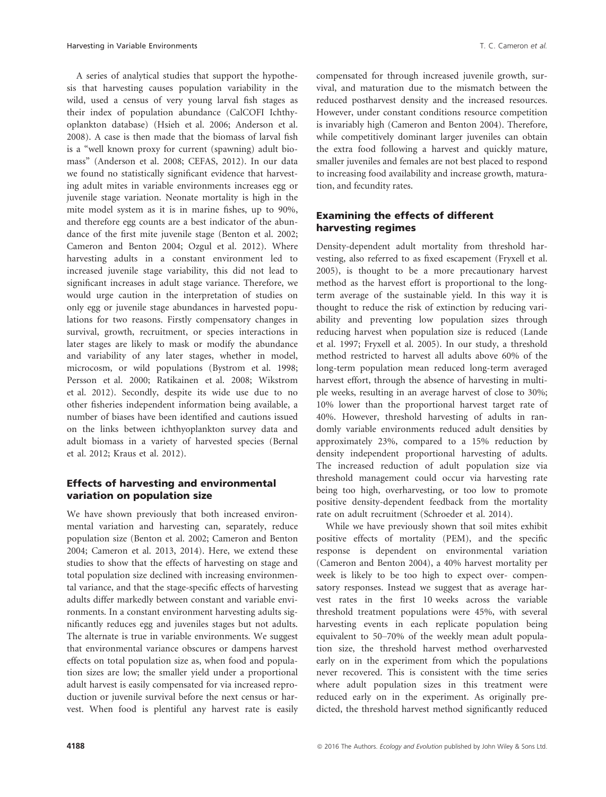A series of analytical studies that support the hypothesis that harvesting causes population variability in the wild, used a census of very young larval fish stages as their index of population abundance (CalCOFI Ichthyoplankton database) (Hsieh et al. 2006; Anderson et al. 2008). A case is then made that the biomass of larval fish is a "well known proxy for current (spawning) adult biomass" (Anderson et al. 2008; CEFAS, 2012). In our data we found no statistically significant evidence that harvesting adult mites in variable environments increases egg or juvenile stage variation. Neonate mortality is high in the mite model system as it is in marine fishes, up to 90%, and therefore egg counts are a best indicator of the abundance of the first mite juvenile stage (Benton et al. 2002; Cameron and Benton 2004; Ozgul et al. 2012). Where harvesting adults in a constant environment led to increased juvenile stage variability, this did not lead to significant increases in adult stage variance. Therefore, we would urge caution in the interpretation of studies on only egg or juvenile stage abundances in harvested populations for two reasons. Firstly compensatory changes in survival, growth, recruitment, or species interactions in later stages are likely to mask or modify the abundance and variability of any later stages, whether in model, microcosm, or wild populations (Bystrom et al. 1998; Persson et al. 2000; Ratikainen et al. 2008; Wikstrom et al. 2012). Secondly, despite its wide use due to no other fisheries independent information being available, a number of biases have been identified and cautions issued on the links between ichthyoplankton survey data and adult biomass in a variety of harvested species (Bernal et al. 2012; Kraus et al. 2012).

### Effects of harvesting and environmental variation on population size

We have shown previously that both increased environmental variation and harvesting can, separately, reduce population size (Benton et al. 2002; Cameron and Benton 2004; Cameron et al. 2013, 2014). Here, we extend these studies to show that the effects of harvesting on stage and total population size declined with increasing environmental variance, and that the stage-specific effects of harvesting adults differ markedly between constant and variable environments. In a constant environment harvesting adults significantly reduces egg and juveniles stages but not adults. The alternate is true in variable environments. We suggest that environmental variance obscures or dampens harvest effects on total population size as, when food and population sizes are low; the smaller yield under a proportional adult harvest is easily compensated for via increased reproduction or juvenile survival before the next census or harvest. When food is plentiful any harvest rate is easily compensated for through increased juvenile growth, survival, and maturation due to the mismatch between the reduced postharvest density and the increased resources. However, under constant conditions resource competition is invariably high (Cameron and Benton 2004). Therefore, while competitively dominant larger juveniles can obtain the extra food following a harvest and quickly mature, smaller juveniles and females are not best placed to respond to increasing food availability and increase growth, maturation, and fecundity rates.

#### Examining the effects of different harvesting regimes

Density-dependent adult mortality from threshold harvesting, also referred to as fixed escapement (Fryxell et al. 2005), is thought to be a more precautionary harvest method as the harvest effort is proportional to the longterm average of the sustainable yield. In this way it is thought to reduce the risk of extinction by reducing variability and preventing low population sizes through reducing harvest when population size is reduced (Lande et al. 1997; Fryxell et al. 2005). In our study, a threshold method restricted to harvest all adults above 60% of the long-term population mean reduced long-term averaged harvest effort, through the absence of harvesting in multiple weeks, resulting in an average harvest of close to 30%; 10% lower than the proportional harvest target rate of 40%. However, threshold harvesting of adults in randomly variable environments reduced adult densities by approximately 23%, compared to a 15% reduction by density independent proportional harvesting of adults. The increased reduction of adult population size via threshold management could occur via harvesting rate being too high, overharvesting, or too low to promote positive density-dependent feedback from the mortality rate on adult recruitment (Schroeder et al. 2014).

While we have previously shown that soil mites exhibit positive effects of mortality (PEM), and the specific response is dependent on environmental variation (Cameron and Benton 2004), a 40% harvest mortality per week is likely to be too high to expect over- compensatory responses. Instead we suggest that as average harvest rates in the first 10 weeks across the variable threshold treatment populations were 45%, with several harvesting events in each replicate population being equivalent to 50–70% of the weekly mean adult population size, the threshold harvest method overharvested early on in the experiment from which the populations never recovered. This is consistent with the time series where adult population sizes in this treatment were reduced early on in the experiment. As originally predicted, the threshold harvest method significantly reduced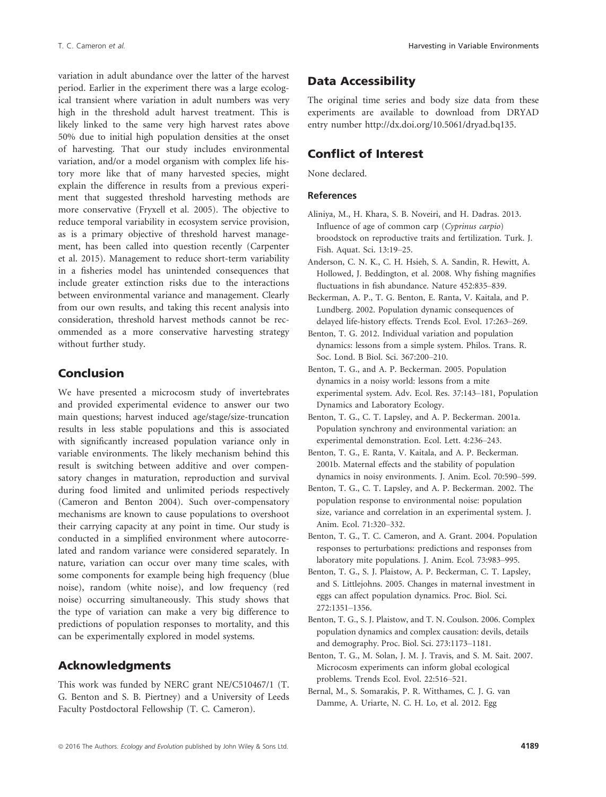variation in adult abundance over the latter of the harvest period. Earlier in the experiment there was a large ecological transient where variation in adult numbers was very high in the threshold adult harvest treatment. This is likely linked to the same very high harvest rates above 50% due to initial high population densities at the onset of harvesting. That our study includes environmental variation, and/or a model organism with complex life history more like that of many harvested species, might explain the difference in results from a previous experiment that suggested threshold harvesting methods are more conservative (Fryxell et al. 2005). The objective to reduce temporal variability in ecosystem service provision, as is a primary objective of threshold harvest management, has been called into question recently (Carpenter et al. 2015). Management to reduce short-term variability in a fisheries model has unintended consequences that include greater extinction risks due to the interactions between environmental variance and management. Clearly from our own results, and taking this recent analysis into consideration, threshold harvest methods cannot be recommended as a more conservative harvesting strategy without further study.

### Conclusion

We have presented a microcosm study of invertebrates and provided experimental evidence to answer our two main questions; harvest induced age/stage/size-truncation results in less stable populations and this is associated with significantly increased population variance only in variable environments. The likely mechanism behind this result is switching between additive and over compensatory changes in maturation, reproduction and survival during food limited and unlimited periods respectively (Cameron and Benton 2004). Such over-compensatory mechanisms are known to cause populations to overshoot their carrying capacity at any point in time. Our study is conducted in a simplified environment where autocorrelated and random variance were considered separately. In nature, variation can occur over many time scales, with some components for example being high frequency (blue noise), random (white noise), and low frequency (red noise) occurring simultaneously. This study shows that the type of variation can make a very big difference to predictions of population responses to mortality, and this can be experimentally explored in model systems.

### Acknowledgments

This work was funded by NERC grant NE/C510467/1 (T. G. Benton and S. B. Piertney) and a University of Leeds Faculty Postdoctoral Fellowship (T. C. Cameron).

## Data Accessibility

The original time series and body size data from these experiments are available to download from DRYAD entry number<http://dx.doi.org/10.5061/dryad.bq135>.

## Conflict of Interest

None declared.

#### References

- Aliniya, M., H. Khara, S. B. Noveiri, and H. Dadras. 2013. Influence of age of common carp (Cyprinus carpio) broodstock on reproductive traits and fertilization. Turk. J. Fish. Aquat. Sci. 13:19–25.
- Anderson, C. N. K., C. H. Hsieh, S. A. Sandin, R. Hewitt, A. Hollowed, J. Beddington, et al. 2008. Why fishing magnifies fluctuations in fish abundance. Nature 452:835–839.
- Beckerman, A. P., T. G. Benton, E. Ranta, V. Kaitala, and P. Lundberg. 2002. Population dynamic consequences of delayed life-history effects. Trends Ecol. Evol. 17:263–269.
- Benton, T. G. 2012. Individual variation and population dynamics: lessons from a simple system. Philos. Trans. R. Soc. Lond. B Biol. Sci. 367:200–210.
- Benton, T. G., and A. P. Beckerman. 2005. Population dynamics in a noisy world: lessons from a mite experimental system. Adv. Ecol. Res. 37:143–181, Population Dynamics and Laboratory Ecology.
- Benton, T. G., C. T. Lapsley, and A. P. Beckerman. 2001a. Population synchrony and environmental variation: an experimental demonstration. Ecol. Lett. 4:236–243.
- Benton, T. G., E. Ranta, V. Kaitala, and A. P. Beckerman. 2001b. Maternal effects and the stability of population dynamics in noisy environments. J. Anim. Ecol. 70:590–599.
- Benton, T. G., C. T. Lapsley, and A. P. Beckerman. 2002. The population response to environmental noise: population size, variance and correlation in an experimental system. J. Anim. Ecol. 71:320–332.
- Benton, T. G., T. C. Cameron, and A. Grant. 2004. Population responses to perturbations: predictions and responses from laboratory mite populations. J. Anim. Ecol. 73:983–995.
- Benton, T. G., S. J. Plaistow, A. P. Beckerman, C. T. Lapsley, and S. Littlejohns. 2005. Changes in maternal investment in eggs can affect population dynamics. Proc. Biol. Sci. 272:1351–1356.
- Benton, T. G., S. J. Plaistow, and T. N. Coulson. 2006. Complex population dynamics and complex causation: devils, details and demography. Proc. Biol. Sci. 273:1173–1181.
- Benton, T. G., M. Solan, J. M. J. Travis, and S. M. Sait. 2007. Microcosm experiments can inform global ecological problems. Trends Ecol. Evol. 22:516–521.
- Bernal, M., S. Somarakis, P. R. Witthames, C. J. G. van Damme, A. Uriarte, N. C. H. Lo, et al. 2012. Egg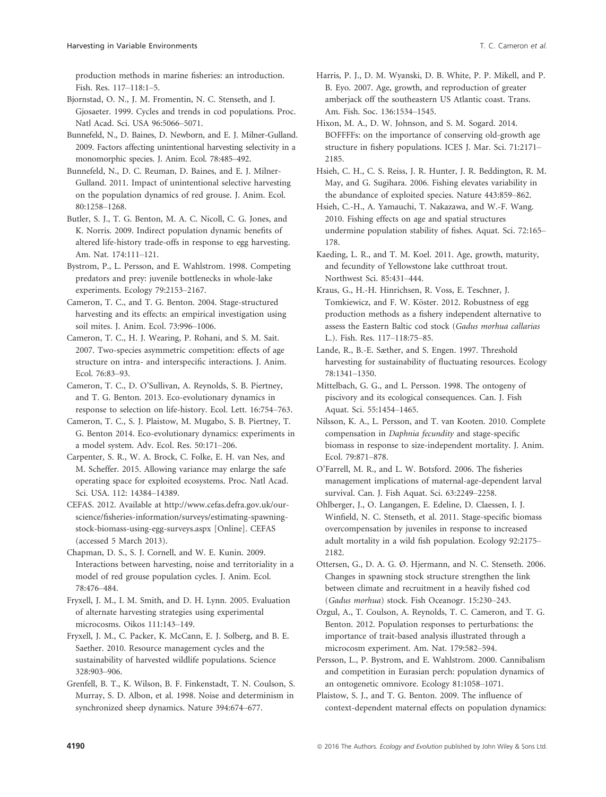production methods in marine fisheries: an introduction. Fish. Res. 117–118:1–5.

Bjornstad, O. N., J. M. Fromentin, N. C. Stenseth, and J. Gjosaeter. 1999. Cycles and trends in cod populations. Proc. Natl Acad. Sci. USA 96:5066–5071.

Bunnefeld, N., D. Baines, D. Newborn, and E. J. Milner-Gulland. 2009. Factors affecting unintentional harvesting selectivity in a monomorphic species. J. Anim. Ecol. 78:485–492.

Bunnefeld, N., D. C. Reuman, D. Baines, and E. J. Milner-Gulland. 2011. Impact of unintentional selective harvesting on the population dynamics of red grouse. J. Anim. Ecol. 80:1258–1268.

Butler, S. J., T. G. Benton, M. A. C. Nicoll, C. G. Jones, and K. Norris. 2009. Indirect population dynamic benefits of altered life-history trade-offs in response to egg harvesting. Am. Nat. 174:111–121.

Bystrom, P., L. Persson, and E. Wahlstrom. 1998. Competing predators and prey: juvenile bottlenecks in whole-lake experiments. Ecology 79:2153–2167.

Cameron, T. C., and T. G. Benton. 2004. Stage-structured harvesting and its effects: an empirical investigation using soil mites. J. Anim. Ecol. 73:996–1006.

Cameron, T. C., H. J. Wearing, P. Rohani, and S. M. Sait. 2007. Two-species asymmetric competition: effects of age structure on intra- and interspecific interactions. J. Anim. Ecol. 76:83–93.

Cameron, T. C., D. O'Sullivan, A. Reynolds, S. B. Piertney, and T. G. Benton. 2013. Eco-evolutionary dynamics in response to selection on life-history. Ecol. Lett. 16:754–763.

Cameron, T. C., S. J. Plaistow, M. Mugabo, S. B. Piertney, T. G. Benton 2014. Eco-evolutionary dynamics: experiments in a model system. Adv. Ecol. Res. 50:171–206.

Carpenter, S. R., W. A. Brock, C. Folke, E. H. van Nes, and M. Scheffer. 2015. Allowing variance may enlarge the safe operating space for exploited ecosystems. Proc. Natl Acad. Sci. USA. 112: 14384–14389.

CEFAS. 2012. Available at [http://www.cefas.defra.gov.uk/our](http://www.cefas.defra.gov.uk/our-science/fisheries-information/surveys/estimating-spawning-stock-biomass-using-egg-surveys.aspx)[science/fisheries-information/surveys/estimating-spawning](http://www.cefas.defra.gov.uk/our-science/fisheries-information/surveys/estimating-spawning-stock-biomass-using-egg-surveys.aspx)[stock-biomass-using-egg-surveys.aspx](http://www.cefas.defra.gov.uk/our-science/fisheries-information/surveys/estimating-spawning-stock-biomass-using-egg-surveys.aspx) [Online]. CEFAS (accessed 5 March 2013).

Chapman, D. S., S. J. Cornell, and W. E. Kunin. 2009. Interactions between harvesting, noise and territoriality in a model of red grouse population cycles. J. Anim. Ecol. 78:476–484.

Fryxell, J. M., I. M. Smith, and D. H. Lynn. 2005. Evaluation of alternate harvesting strategies using experimental microcosms. Oikos 111:143–149.

Fryxell, J. M., C. Packer, K. McCann, E. J. Solberg, and B. E. Saether. 2010. Resource management cycles and the sustainability of harvested wildlife populations. Science 328:903–906.

Grenfell, B. T., K. Wilson, B. F. Finkenstadt, T. N. Coulson, S. Murray, S. D. Albon, et al. 1998. Noise and determinism in synchronized sheep dynamics. Nature 394:674–677.

Harris, P. J., D. M. Wyanski, D. B. White, P. P. Mikell, and P. B. Eyo. 2007. Age, growth, and reproduction of greater amberjack off the southeastern US Atlantic coast. Trans. Am. Fish. Soc. 136:1534–1545.

Hixon, M. A., D. W. Johnson, and S. M. Sogard. 2014. BOFFFFs: on the importance of conserving old-growth age structure in fishery populations. ICES J. Mar. Sci. 71:2171– 2185.

Hsieh, C. H., C. S. Reiss, J. R. Hunter, J. R. Beddington, R. M. May, and G. Sugihara. 2006. Fishing elevates variability in the abundance of exploited species. Nature 443:859–862.

Hsieh, C.-H., A. Yamauchi, T. Nakazawa, and W.-F. Wang. 2010. Fishing effects on age and spatial structures undermine population stability of fishes. Aquat. Sci. 72:165– 178.

Kaeding, L. R., and T. M. Koel. 2011. Age, growth, maturity, and fecundity of Yellowstone lake cutthroat trout. Northwest Sci. 85:431–444.

Kraus, G., H.-H. Hinrichsen, R. Voss, E. Teschner, J. Tomkiewicz, and F. W. Köster. 2012. Robustness of egg production methods as a fishery independent alternative to assess the Eastern Baltic cod stock (Gadus morhua callarias L.). Fish. Res. 117–118:75–85.

Lande, R., B.-E. Sæther, and S. Engen. 1997. Threshold harvesting for sustainability of fluctuating resources. Ecology 78:1341–1350.

Mittelbach, G. G., and L. Persson. 1998. The ontogeny of piscivory and its ecological consequences. Can. J. Fish Aquat. Sci. 55:1454–1465.

Nilsson, K. A., L. Persson, and T. van Kooten. 2010. Complete compensation in Daphnia fecundity and stage-specific biomass in response to size-independent mortality. J. Anim. Ecol. 79:871–878.

O'Farrell, M. R., and L. W. Botsford. 2006. The fisheries management implications of maternal-age-dependent larval survival. Can. J. Fish Aquat. Sci. 63:2249–2258.

Ohlberger, J., O. Langangen, E. Edeline, D. Claessen, I. J. Winfield, N. C. Stenseth, et al. 2011. Stage-specific biomass overcompensation by juveniles in response to increased adult mortality in a wild fish population. Ecology 92:2175– 2182.

Ottersen, G., D. A. G. Ø. Hjermann, and N. C. Stenseth. 2006. Changes in spawning stock structure strengthen the link between climate and recruitment in a heavily fished cod (Gadus morhua) stock. Fish Oceanogr. 15:230–243.

Ozgul, A., T. Coulson, A. Reynolds, T. C. Cameron, and T. G. Benton. 2012. Population responses to perturbations: the importance of trait-based analysis illustrated through a microcosm experiment. Am. Nat. 179:582–594.

Persson, L., P. Bystrom, and E. Wahlstrom. 2000. Cannibalism and competition in Eurasian perch: population dynamics of an ontogenetic omnivore. Ecology 81:1058–1071.

Plaistow, S. J., and T. G. Benton. 2009. The influence of context-dependent maternal effects on population dynamics: